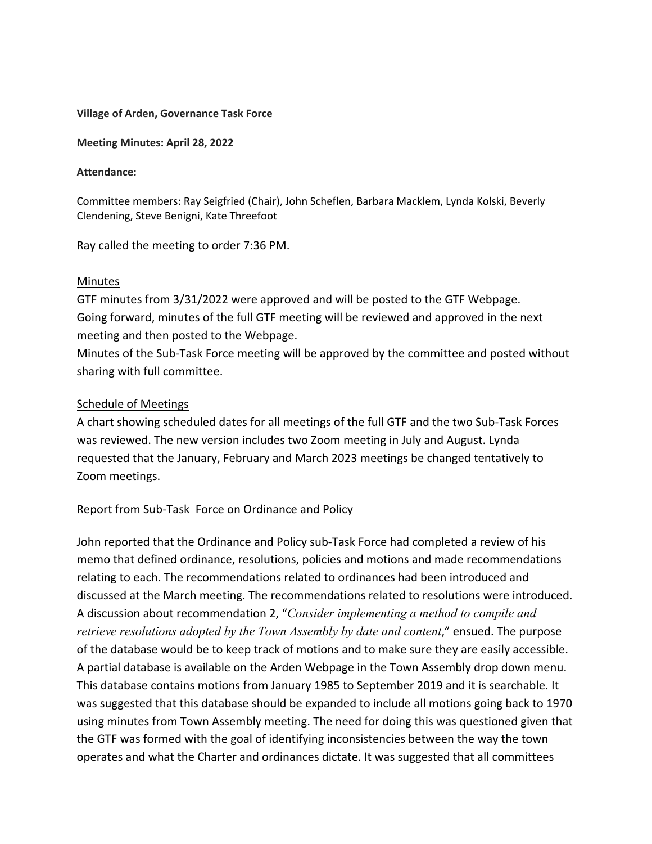#### **Village of Arden, Governance Task Force**

**Meeting Minutes: April 28, 2022**

#### **Attendance:**

Committee members: Ray Seigfried (Chair), John Scheflen, Barbara Macklem, Lynda Kolski, Beverly Clendening, Steve Benigni, Kate Threefoot

Ray called the meeting to order 7:36 PM.

### Minutes

GTF minutes from 3/31/2022 were approved and will be posted to the GTF Webpage. Going forward, minutes of the full GTF meeting will be reviewed and approved in the next meeting and then posted to the Webpage.

Minutes of the Sub-Task Force meeting will be approved by the committee and posted without sharing with full committee.

### Schedule of Meetings

A chart showing scheduled dates for all meetings of the full GTF and the two Sub-Task Forces was reviewed. The new version includes two Zoom meeting in July and August. Lynda requested that the January, February and March 2023 meetings be changed tentatively to Zoom meetings.

## Report from Sub-Task Force on Ordinance and Policy

John reported that the Ordinance and Policy sub-Task Force had completed a review of his memo that defined ordinance, resolutions, policies and motions and made recommendations relating to each. The recommendations related to ordinances had been introduced and discussed at the March meeting. The recommendations related to resolutions were introduced. A discussion about recommendation 2, "*Consider implementing a method to compile and retrieve resolutions adopted by the Town Assembly by date and content*," ensued. The purpose of the database would be to keep track of motions and to make sure they are easily accessible. A partial database is available on the Arden Webpage in the Town Assembly drop down menu. This database contains motions from January 1985 to September 2019 and it is searchable. It was suggested that this database should be expanded to include all motions going back to 1970 using minutes from Town Assembly meeting. The need for doing this was questioned given that the GTF was formed with the goal of identifying inconsistencies between the way the town operates and what the Charter and ordinances dictate. It was suggested that all committees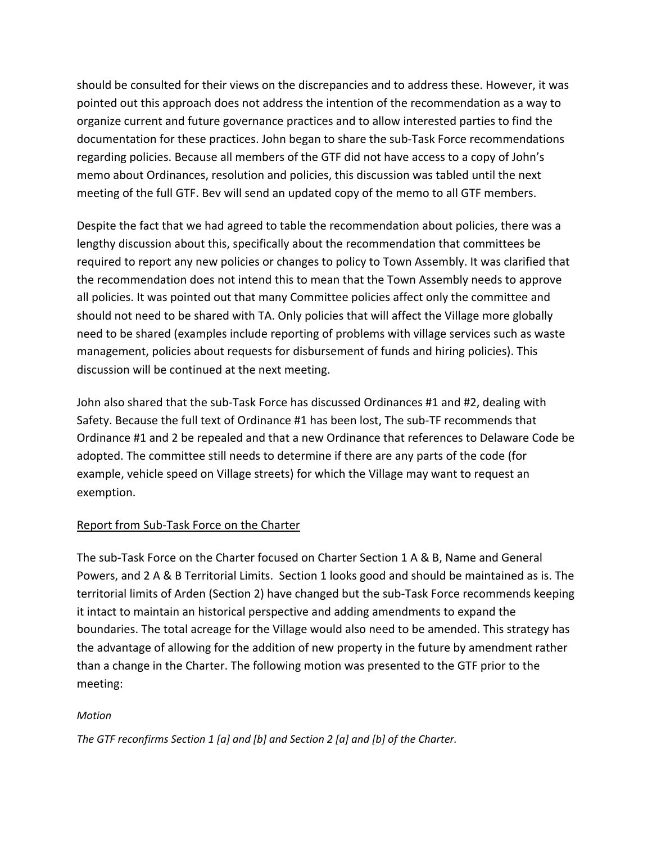should be consulted for their views on the discrepancies and to address these. However, it was pointed out this approach does not address the intention of the recommendation as a way to organize current and future governance practices and to allow interested parties to find the documentation for these practices. John began to share the sub-Task Force recommendations regarding policies. Because all members of the GTF did not have access to a copy of John's memo about Ordinances, resolution and policies, this discussion was tabled until the next meeting of the full GTF. Bev will send an updated copy of the memo to all GTF members.

Despite the fact that we had agreed to table the recommendation about policies, there was a lengthy discussion about this, specifically about the recommendation that committees be required to report any new policies or changes to policy to Town Assembly. It was clarified that the recommendation does not intend this to mean that the Town Assembly needs to approve all policies. It was pointed out that many Committee policies affect only the committee and should not need to be shared with TA. Only policies that will affect the Village more globally need to be shared (examples include reporting of problems with village services such as waste management, policies about requests for disbursement of funds and hiring policies). This discussion will be continued at the next meeting.

John also shared that the sub-Task Force has discussed Ordinances #1 and #2, dealing with Safety. Because the full text of Ordinance #1 has been lost, The sub-TF recommends that Ordinance #1 and 2 be repealed and that a new Ordinance that references to Delaware Code be adopted. The committee still needs to determine if there are any parts of the code (for example, vehicle speed on Village streets) for which the Village may want to request an exemption.

# Report from Sub-Task Force on the Charter

The sub-Task Force on the Charter focused on Charter Section 1 A & B, Name and General Powers, and 2 A & B Territorial Limits. Section 1 looks good and should be maintained as is. The territorial limits of Arden (Section 2) have changed but the sub-Task Force recommends keeping it intact to maintain an historical perspective and adding amendments to expand the boundaries. The total acreage for the Village would also need to be amended. This strategy has the advantage of allowing for the addition of new property in the future by amendment rather than a change in the Charter. The following motion was presented to the GTF prior to the meeting:

# *Motion*

*The GTF reconfirms Section 1 [a] and [b] and Section 2 [a] and [b] of the Charter.*